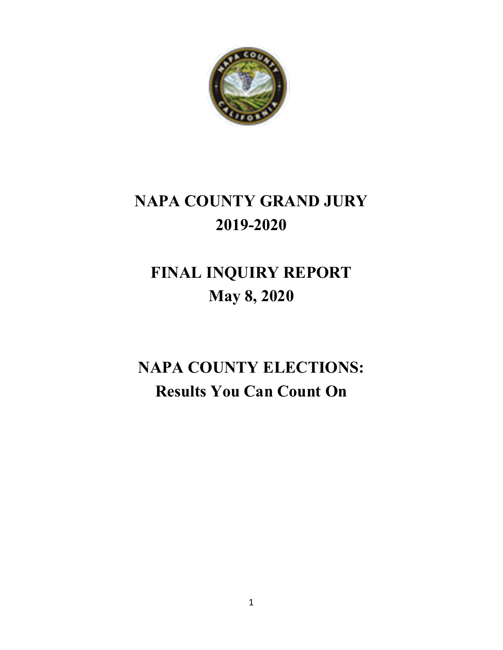

# **NAPA COUNTY GRAND JURY 2019-2020**

# **FINAL INQUIRY REPORT May 8, 2020**

# **NAPA COUNTY ELECTIONS: Results You Can Count On**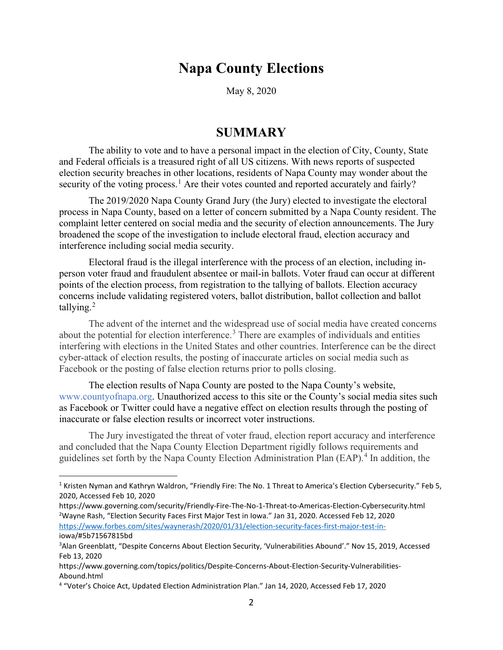# **Napa County Elections**

May 8, 2020

### **SUMMARY**

The ability to vote and to have a personal impact in the election of City, County, State and Federal officials is a treasured right of all US citizens. With news reports of suspected election security breaches in other locations, residents of Napa County may wonder about the security of the voting process.<sup>[1](#page-1-0)</sup> Are their votes counted and reported accurately and fairly?

The 2019/2020 Napa County Grand Jury (the Jury) elected to investigate the electoral process in Napa County, based on a letter of concern submitted by a Napa County resident. The complaint letter centered on social media and the security of election announcements. The Jury broadened the scope of the investigation to include electoral fraud, election accuracy and interference including social media security.

Electoral fraud is the illegal interference with the process of an election, including inperson voter fraud and fraudulent absentee or mail-in ballots. Voter fraud can occur at different points of the election process, from registration to the tallying of ballots. Election accuracy concerns include validating registered voters, ballot distribution, ballot collection and ballot tallying. $2$ 

The advent of the internet and the widespread use of social media have created concerns about the potential for election interference.<sup>[3](#page-1-2)</sup> There are examples of individuals and entities interfering with elections in the United States and other countries. Interference can be the direct cyber-attack of election results, the posting of inaccurate articles on social media such as Facebook or the posting of false election returns prior to polls closing.

The election results of Napa County are posted to the Napa County's website, www.countyofnapa.org. Unauthorized access to this site or the County's social media sites such as Facebook or Twitter could have a negative effect on election results through the posting of inaccurate or false election results or incorrect voter instructions.

The Jury investigated the threat of voter fraud, election report accuracy and interference and concluded that the Napa County Election Department rigidly follows requirements and guidelines set forth by the Napa County Election Administration Plan (EAP). [4](#page-1-3) In addition, the

<span id="page-1-0"></span><sup>&</sup>lt;sup>1</sup> Kristen Nyman and Kathryn Waldron, "Friendly Fire: The No. 1 Threat to America's Election Cybersecurity." Feb 5, 2020, Accessed Feb 10, 2020

<span id="page-1-1"></span>https://www.governing.com/security/Friendly-Fire-The-No-1-Threat-to-Americas-Election-Cybersecurity.html 2 Wayne Rash, "Election Security Faces First Major Test in Iowa." Jan 31, 2020. Accessed Feb 12, 2020 [https://www.forbes.com/sites/waynerash/2020/01/31/election-security-faces-first-major-test-in](https://www.forbes.com/sites/waynerash/2020/01/31/election-security-faces-first-major-test-in-)iowa/#5b71567815bd

<span id="page-1-2"></span><sup>3</sup> Alan Greenblatt, "Despite Concerns About Election Security, 'Vulnerabilities Abound'." Nov 15, 2019, Accessed Feb 13, 2020

https://www.governing.com/topics/politics/Despite-Concerns-About-Election-Security-Vulnerabilities-Abound.html

<span id="page-1-3"></span><sup>4</sup> "Voter's Choice Act, Updated Election Administration Plan." Jan 14, 2020, Accessed Feb 17, 2020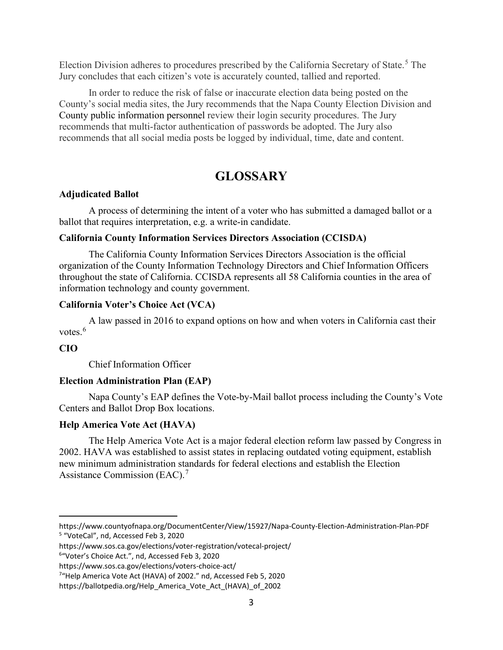Election Division adheres to procedures prescribed by the California Secretary of State.<sup>[5](#page-2-0)</sup> The Jury concludes that each citizen's vote is accurately counted, tallied and reported.

In order to reduce the risk of false or inaccurate election data being posted on the County's social media sites, the Jury recommends that the Napa County Election Division and County public information personnel review their login security procedures. The Jury recommends that multi-factor authentication of passwords be adopted. The Jury also recommends that all social media posts be logged by individual, time, date and content.

# **GLOSSARY**

### **Adjudicated Ballot**

A process of determining the intent of a voter who has submitted a damaged ballot or a ballot that requires interpretation, e.g. a write-in candidate.

### **California County Information Services Directors Association (CCISDA)**

The California County Information Services Directors Association is the official organization of the County Information Technology Directors and Chief Information Officers throughout the state of California. CCISDA represents all 58 California counties in the area of information technology and county government.

### **California Voter's Choice Act (VCA)**

A law passed in 2016 to expand options on how and when voters in California cast their votes.<sup>[6](#page-2-1)</sup>

### **CIO**

Chief Information Officer

### **Election Administration Plan (EAP)**

Napa County's EAP defines the Vote-by-Mail ballot process including the County's Vote Centers and Ballot Drop Box locations.

### **Help America Vote Act (HAVA)**

The Help America Vote Act is a major federal election reform law passed by Congress in 2002. HAVA was established to assist states in replacing outdated voting equipment, establish new minimum administration standards for federal elections and establish the Election Assistance Commission (EAC).<sup>[7](#page-2-2)</sup>

<span id="page-2-1"></span>6 "Voter's Choice Act.", nd, Accessed Feb 3, 2020

<span id="page-2-0"></span>https://www.countyofnapa.org/DocumentCenter/View/15927/Napa-County-Election-Administration-Plan-PDF <sup>5</sup> "VoteCal", nd, Accessed Feb 3, 2020

https://www.sos.ca.gov/elections/voter-registration/votecal-project/

<span id="page-2-2"></span>https://www.sos.ca.gov/elections/voters-choice-act/

<sup>7</sup> "Help America Vote Act (HAVA) of 2002." nd, Accessed Feb 5, 2020

https://ballotpedia.org/Help\_America\_Vote\_Act\_(HAVA)\_of\_2002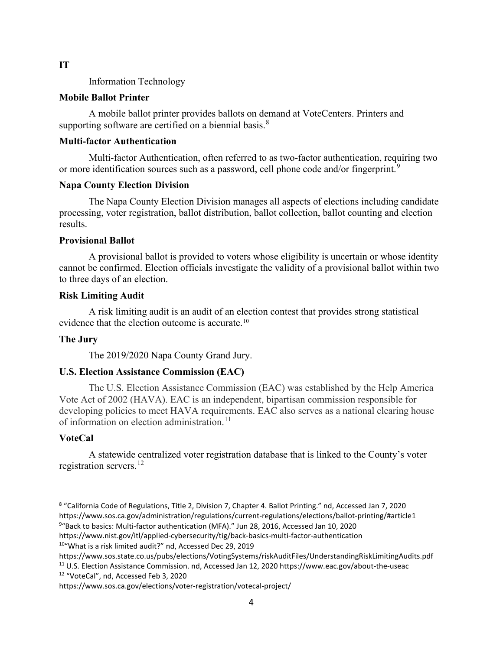#### **IT**

Information Technology

### **Mobile Ballot Printer**

A mobile ballot printer provides ballots on demand at VoteCenters. Printers and supporting software are certified on a biennial basis.<sup>[8](#page-3-0)</sup>

#### **Multi-factor Authentication**

Multi-factor Authentication, often referred to as two-factor authentication, requiring two or more identification sources such as a password, cell phone code and/or fingerprint.<sup>[9](#page-3-1)</sup>

### **Napa County Election Division**

The Napa County Election Division manages all aspects of elections including candidate processing, voter registration, ballot distribution, ballot collection, ballot counting and election results.

#### **Provisional Ballot**

A provisional ballot is provided to voters whose eligibility is uncertain or whose identity cannot be confirmed. Election officials investigate the validity of a provisional ballot within two to three days of an election.

#### **Risk Limiting Audit**

A risk limiting audit is an audit of an election contest that provides strong statistical evidence that the election outcome is accurate.<sup>[10](#page-3-2)</sup>

### **The Jury**

The 2019/2020 Napa County Grand Jury.

### **U.S. Election Assistance Commission (EAC)**

The U.S. Election Assistance Commission (EAC) was established by the Help America Vote Act of 2002 (HAVA). EAC is an independent, bipartisan commission responsible for developing policies to meet HAVA requirements. EAC also serves as a national clearing house of information on election administration.<sup>[11](#page-3-3)</sup>

### **VoteCal**

A statewide centralized voter registration database that is linked to the County's voter registration servers. [12](#page-3-4)

<span id="page-3-2"></span>10"What is a risk limited audit?" nd, Accessed Dec 29, 2019

<span id="page-3-4"></span><sup>12</sup> "VoteCal", nd, Accessed Feb 3, 2020

<span id="page-3-1"></span><span id="page-3-0"></span><sup>8</sup> "California Code of Regulations, Title 2, Division 7, Chapter 4. Ballot Printing." nd, Accessed Jan 7, 2020 https://www.sos.ca.gov/administration/regulations/current-regulations/elections/ballot-printing/#article1 9 "Back to basics: Multi-factor authentication (MFA)." Jun 28, 2016, Accessed Jan 10, 2020 https://www.nist.gov/itl/applied-cybersecurity/tig/back-basics-multi-factor-authentication

<span id="page-3-3"></span>https://www.sos.state.co.us/pubs/elections/VotingSystems/riskAuditFiles/UnderstandingRiskLimitingAudits.pdf <sup>11</sup> U.S. Election Assistance Commission. nd, Accessed Jan 12, 2020 https://www.eac.gov/about-the-useac

https://www.sos.ca.gov/elections/voter-registration/votecal-project/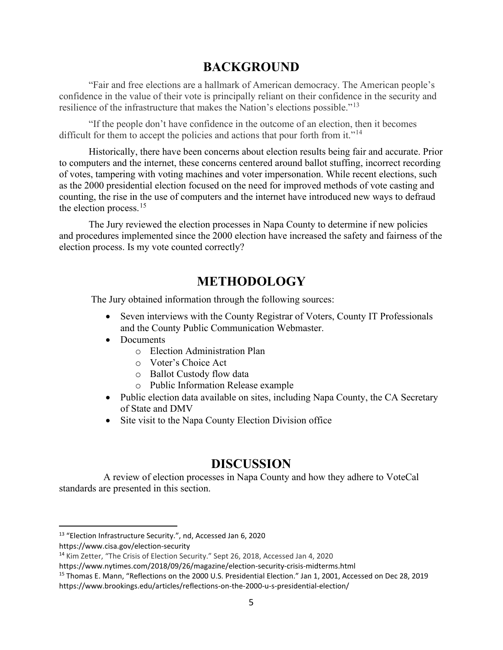# **BACKGROUND**

"Fair and free elections are a hallmark of American democracy. The American people's confidence in the value of their vote is principally reliant on their confidence in the security and resilience of the infrastructure that makes the Nation's elections possible."[13](#page-4-0)

"If the people don't have confidence in the outcome of an election, then it becomes difficult for them to accept the policies and actions that pour forth from it."<sup>[14](#page-4-1)</sup>

Historically, there have been concerns about election results being fair and accurate. Prior to computers and the internet, these concerns centered around ballot stuffing, incorrect recording of votes, tampering with voting machines and voter impersonation. While recent elections, such as the 2000 presidential election focused on the need for improved methods of vote casting and counting, the rise in the use of computers and the internet have introduced new ways to defraud the election process.<sup>[15](#page-4-2)</sup>

The Jury reviewed the election processes in Napa County to determine if new policies and procedures implemented since the 2000 election have increased the safety and fairness of the election process. Is my vote counted correctly?

# **METHODOLOGY**

The Jury obtained information through the following sources:

- Seven interviews with the County Registrar of Voters, County IT Professionals and the County Public Communication Webmaster.
- Documents
	- o Election Administration Plan
	- o Voter's Choice Act
	- o Ballot Custody flow data
	- o Public Information Release example
- Public election data available on sites, including Napa County, the CA Secretary of State and DMV
- Site visit to the Napa County Election Division office

## **DISCUSSION**

 A review of election processes in Napa County and how they adhere to VoteCal standards are presented in this section.

<span id="page-4-0"></span><sup>13</sup> "Election Infrastructure Security.", nd, Accessed Jan 6, 2020

https://www.cisa.gov/election-security

<span id="page-4-1"></span><sup>14</sup> Kim Zetter, "The Crisis of Election Security." Sept 26, 2018, Accessed Jan 4, 2020

https://www.nytimes.com/2018/09/26/magazine/election-security-crisis-midterms.html

<span id="page-4-2"></span><sup>15</sup> Thomas E. Mann, "Reflections on the 2000 U.S. Presidential Election." Jan 1, 2001, Accessed on Dec 28, 2019 https://www.brookings.edu/articles/reflections-on-the-2000-u-s-presidential-election/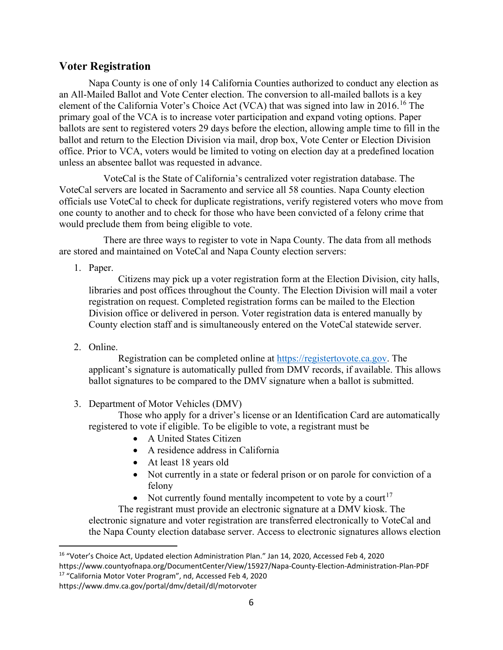### **Voter Registration**

Napa County is one of only 14 California Counties authorized to conduct any election as an All-Mailed Ballot and Vote Center election. The conversion to all-mailed ballots is a key element of the California Voter's Choice Act (VCA) that was signed into law in 20[16](#page-5-0).<sup>16</sup> The primary goal of the VCA is to increase voter participation and expand voting options. Paper ballots are sent to registered voters 29 days before the election, allowing ample time to fill in the ballot and return to the Election Division via mail, drop box, Vote Center or Election Division office. Prior to VCA, voters would be limited to voting on election day at a predefined location unless an absentee ballot was requested in advance.

 VoteCal is the State of California's centralized voter registration database. The VoteCal servers are located in Sacramento and service all 58 counties. Napa County election officials use VoteCal to check for duplicate registrations, verify registered voters who move from one county to another and to check for those who have been convicted of a felony crime that would preclude them from being eligible to vote.

 There are three ways to register to vote in Napa County. The data from all methods are stored and maintained on VoteCal and Napa County election servers:

1. Paper.

Citizens may pick up a voter registration form at the Election Division, city halls, libraries and post offices throughout the County. The Election Division will mail a voter registration on request. Completed registration forms can be mailed to the Election Division office or delivered in person. Voter registration data is entered manually by County election staff and is simultaneously entered on the VoteCal statewide server.

2. Online.

Registration can be completed online at [https://registertovote.ca.gov.](https://registertovote.ca.gov/) The applicant's signature is automatically pulled from DMV records, if available. This allows ballot signatures to be compared to the DMV signature when a ballot is submitted.

3. Department of Motor Vehicles (DMV)

Those who apply for a driver's license or an Identification Card are automatically registered to vote if eligible. To be eligible to vote, a registrant must be

- A United States Citizen
- A residence address in California
- At least 18 years old
- Not currently in a state or federal prison or on parole for conviction of a felony
- Not currently found mentally incompetent to vote by a court<sup>[17](#page-5-1)</sup>

The registrant must provide an electronic signature at a DMV kiosk. The electronic signature and voter registration are transferred electronically to VoteCal and the Napa County election database server. Access to electronic signatures allows election

<span id="page-5-0"></span><sup>16</sup> "Voter's Choice Act, Updated election Administration Plan." Jan 14, 2020, Accessed Feb 4, 2020 https://www.countyofnapa.org/DocumentCenter/View/15927/Napa-County-Election-Administration-Plan-PDF <sup>17</sup> "California Motor Voter Program", nd, Accessed Feb 4, 2020

<span id="page-5-1"></span>https://www.dmv.ca.gov/portal/dmv/detail/dl/motorvoter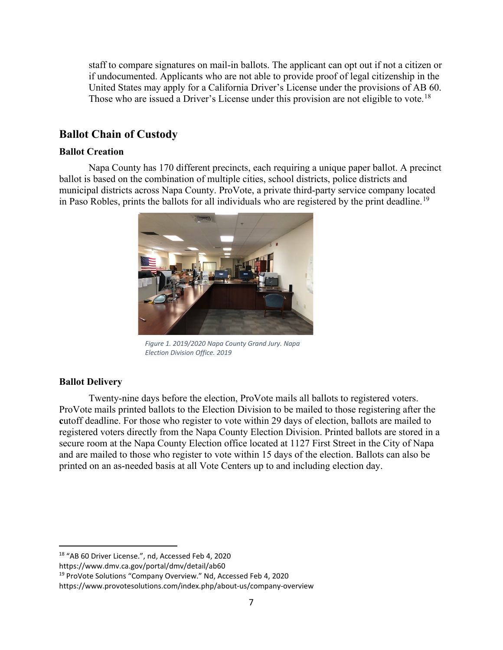staff to compare signatures on mail-in ballots. The applicant can opt out if not a citizen or if undocumented. Applicants who are not able to provide proof of legal citizenship in the United States may apply for a California Driver's License under the provisions of AB 60. Those who are issued a Driver's License under this provision are not eligible to vote.<sup>[18](#page-6-0)</sup>

### **Ballot Chain of Custody**

### **Ballot Creation**

Napa County has 170 different precincts, each requiring a unique paper ballot. A precinct ballot is based on the combination of multiple cities, school districts, police districts and municipal districts across Napa County. ProVote, a private third-party service company located in Paso Robles, prints the ballots for all individuals who are registered by the print deadline.<sup>[19](#page-6-1)</sup>



*Figure 1. 2019/2020 Napa County Grand Jury. Napa Election Division Office. 2019*

### **Ballot Delivery**

Twenty-nine days before the election, ProVote mails all ballots to registered voters. ProVote mails printed ballots to the Election Division to be mailed to those registering after the **c**utoff deadline. For those who register to vote within 29 days of election, ballots are mailed to registered voters directly from the Napa County Election Division. Printed ballots are stored in a secure room at the Napa County Election office located at 1127 First Street in the City of Napa and are mailed to those who register to vote within 15 days of the election. Ballots can also be printed on an as-needed basis at all Vote Centers up to and including election day.

https://www.dmv.ca.gov/portal/dmv/detail/ab60

<span id="page-6-0"></span><sup>18</sup> "AB 60 Driver License.", nd, Accessed Feb 4, 2020

<span id="page-6-1"></span><sup>19</sup> ProVote Solutions "Company Overview." Nd, Accessed Feb 4, 2020

https://www.provotesolutions.com/index.php/about-us/company-overview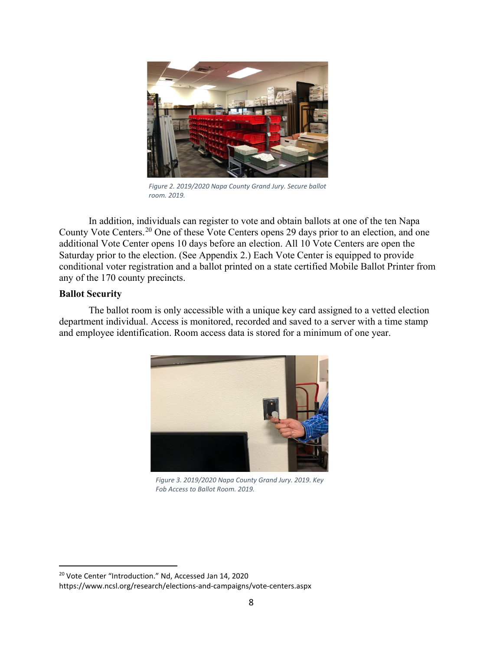

*Figure 2. 2019/2020 Napa County Grand Jury. Secure ballot room. 2019.*

In addition, individuals can register to vote and obtain ballots at one of the ten Napa County Vote Centers.<sup>[20](#page-7-0)</sup> One of these Vote Centers opens 29 days prior to an election, and one additional Vote Center opens 10 days before an election. All 10 Vote Centers are open the Saturday prior to the election. (See Appendix 2.) Each Vote Center is equipped to provide conditional voter registration and a ballot printed on a state certified Mobile Ballot Printer from any of the 170 county precincts.

### **Ballot Security**

The ballot room is only accessible with a unique key card assigned to a vetted election department individual. Access is monitored, recorded and saved to a server with a time stamp and employee identification. Room access data is stored for a minimum of one year.



*Figure 3. 2019/2020 Napa County Grand Jury. 2019. Key Fob Access to Ballot Room. 2019.*

<span id="page-7-0"></span><sup>20</sup> Vote Center "Introduction." Nd, Accessed Jan 14, 2020

https://www.ncsl.org/research/elections-and-campaigns/vote-centers.aspx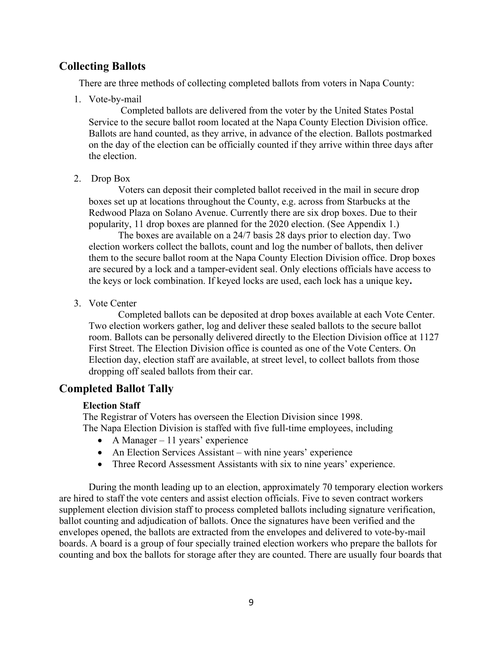### **Collecting Ballots**

There are three methods of collecting completed ballots from voters in Napa County:

1. Vote-by-mail

Completed ballots are delivered from the voter by the United States Postal Service to the secure ballot room located at the Napa County Election Division office. Ballots are hand counted, as they arrive, in advance of the election. Ballots postmarked on the day of the election can be officially counted if they arrive within three days after the election.

2. Drop Box

Voters can deposit their completed ballot received in the mail in secure drop boxes set up at locations throughout the County, e.g. across from Starbucks at the Redwood Plaza on Solano Avenue. Currently there are six drop boxes. Due to their popularity, 11 drop boxes are planned for the 2020 election. (See Appendix 1.)

The boxes are available on a 24/7 basis 28 days prior to election day. Two election workers collect the ballots, count and log the number of ballots, then deliver them to the secure ballot room at the Napa County Election Division office. Drop boxes are secured by a lock and a tamper-evident seal. Only elections officials have access to the keys or lock combination. If keyed locks are used, each lock has a unique key**.**

3. Vote Center

Completed ballots can be deposited at drop boxes available at each Vote Center. Two election workers gather, log and deliver these sealed ballots to the secure ballot room. Ballots can be personally delivered directly to the Election Division office at 1127 First Street. The Election Division office is counted as one of the Vote Centers. On Election day, election staff are available, at street level, to collect ballots from those dropping off sealed ballots from their car.

### **Completed Ballot Tally**

#### **Election Staff**

The Registrar of Voters has overseen the Election Division since 1998. The Napa Election Division is staffed with five full-time employees, including

- A Manager  $-11$  years' experience
- An Election Services Assistant with nine years' experience
- Three Record Assessment Assistants with six to nine years' experience.

During the month leading up to an election, approximately 70 temporary election workers are hired to staff the vote centers and assist election officials. Five to seven contract workers supplement election division staff to process completed ballots including signature verification, ballot counting and adjudication of ballots. Once the signatures have been verified and the envelopes opened, the ballots are extracted from the envelopes and delivered to vote-by-mail boards. A board is a group of four specially trained election workers who prepare the ballots for counting and box the ballots for storage after they are counted. There are usually four boards that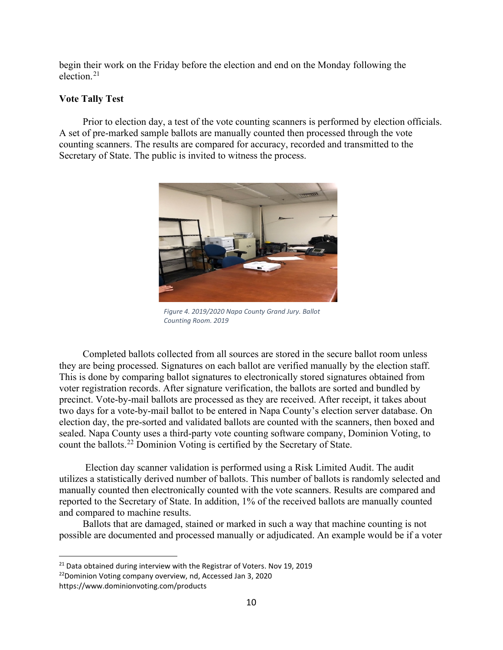begin their work on the Friday before the election and end on the Monday following the election.[21](#page-9-0)

### **Vote Tally Test**

Prior to election day, a test of the vote counting scanners is performed by election officials. A set of pre-marked sample ballots are manually counted then processed through the vote counting scanners. The results are compared for accuracy, recorded and transmitted to the Secretary of State. The public is invited to witness the process.



*Figure 4. 2019/2020 Napa County Grand Jury. Ballot Counting Room. 2019*

Completed ballots collected from all sources are stored in the secure ballot room unless they are being processed. Signatures on each ballot are verified manually by the election staff. This is done by comparing ballot signatures to electronically stored signatures obtained from voter registration records. After signature verification, the ballots are sorted and bundled by precinct. Vote-by-mail ballots are processed as they are received. After receipt, it takes about two days for a vote-by-mail ballot to be entered in Napa County's election server database. On election day, the pre-sorted and validated ballots are counted with the scanners, then boxed and sealed. Napa County uses a third-party vote counting software company, Dominion Voting, to count the ballots. [22](#page-9-1) Dominion Voting is certified by the Secretary of State.

Election day scanner validation is performed using a Risk Limited Audit. The audit utilizes a statistically derived number of ballots. This number of ballots is randomly selected and manually counted then electronically counted with the vote scanners. Results are compared and reported to the Secretary of State. In addition, 1% of the received ballots are manually counted and compared to machine results.

Ballots that are damaged, stained or marked in such a way that machine counting is not possible are documented and processed manually or adjudicated. An example would be if a voter

<span id="page-9-0"></span><sup>&</sup>lt;sup>21</sup> Data obtained during interview with the Registrar of Voters. Nov 19, 2019

<span id="page-9-1"></span><sup>22</sup>Dominion Voting company overview, nd, Accessed Jan 3, 2020 https://www.dominionvoting.com/products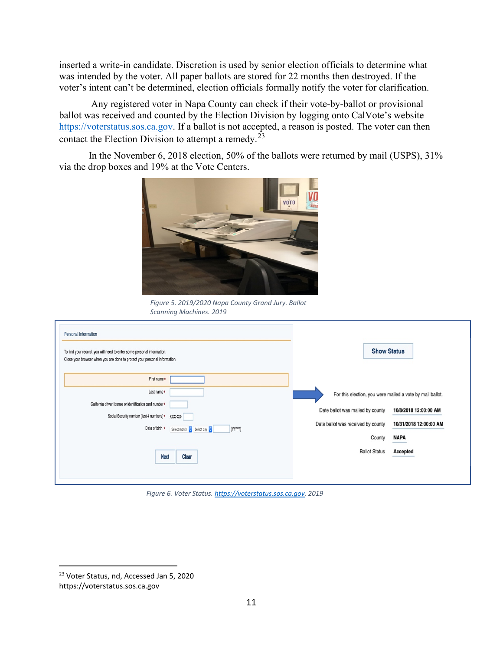inserted a write-in candidate. Discretion is used by senior election officials to determine what was intended by the voter. All paper ballots are stored for 22 months then destroyed. If the voter's intent can't be determined, election officials formally notify the voter for clarification.

Any registered voter in Napa County can check if their vote-by-ballot or provisional ballot was received and counted by the Election Division by logging onto CalVote's website [https://voterstatus.sos.ca.gov.](https://voterstatus.sos.ca.gov/) If a ballot is not accepted, a reason is posted. The voter can then contact the Election Division to attempt a remedy.[23](#page-10-0)

In the November 6, 2018 election, 50% of the ballots were returned by mail (USPS), 31% via the drop boxes and 19% at the Vote Centers.



*Figure 5. 2019/2020 Napa County Grand Jury. Ballot Scanning Machines. 2019*

| Personal Information<br>To find your record, you will need to enter some personal information.<br>Close your browser when you are done to protect your personal information.                                                          | <b>Show Status</b>                                                                                                                                                                                                                                  |
|---------------------------------------------------------------------------------------------------------------------------------------------------------------------------------------------------------------------------------------|-----------------------------------------------------------------------------------------------------------------------------------------------------------------------------------------------------------------------------------------------------|
| First name*<br>Last name*<br>California driver license or identification card number*<br>Social Security number (last 4 numbers)*<br>XXX-XX-<br>Date of birth *<br>(YYYY)<br>Select month C Select day<br><b>Clear</b><br><b>Next</b> | For this election, you were mailed a vote by mail ballot.<br>Date ballot was mailed by county<br>10/8/2018 12:00:00 AM<br>Date ballot was received by county<br>10/31/2018 12:00:00 AM<br><b>NAPA</b><br>County<br><b>Ballot Status</b><br>Accepted |

*Figure 6. Voter Status[. https://voterstatus.sos.ca.gov.](https://voterstatus.sos.ca.gov/) 2019*

<span id="page-10-0"></span><sup>23</sup> Voter Status, nd, Accessed Jan 5, 2020 https://voterstatus.sos.ca.gov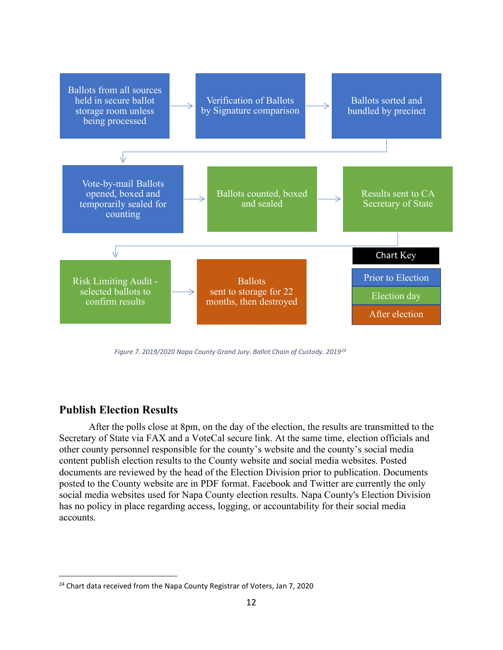

 *Figure 7. 2019/2020 Napa County Grand Jury. Ballot Chain of Custody. 201[924](#page-11-0)*

### **Publish Election Results**

After the polls close at 8pm, on the day of the election, the results are transmitted to the Secretary of State via FAX and a VoteCal secure link. At the same time, election officials and other county personnel responsible for the county's website and the county's social media content publish election results to the County website and social media websites. Posted documents are reviewed by the head of the Election Division prior to publication. Documents posted to the County website are in PDF format. Facebook and Twitter are currently the only social media websites used for Napa County election results. Napa County's Election Division has no policy in place regarding access, logging, or accountability for their social media accounts.

<span id="page-11-0"></span><sup>&</sup>lt;sup>24</sup> Chart data received from the Napa County Registrar of Voters, Jan 7, 2020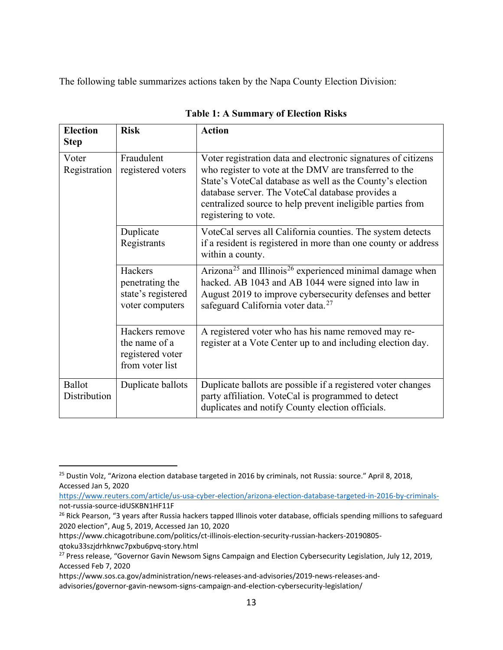The following table summarizes actions taken by the Napa County Election Division:

| <b>Election</b><br><b>Step</b> | <b>Risk</b>                                                            | <b>Action</b>                                                                                                                                                                                                                                                                                                                  |  |
|--------------------------------|------------------------------------------------------------------------|--------------------------------------------------------------------------------------------------------------------------------------------------------------------------------------------------------------------------------------------------------------------------------------------------------------------------------|--|
| Voter<br>Registration          | Fraudulent<br>registered voters                                        | Voter registration data and electronic signatures of citizens<br>who register to vote at the DMV are transferred to the<br>State's VoteCal database as well as the County's election<br>database server. The VoteCal database provides a<br>centralized source to help prevent ineligible parties from<br>registering to vote. |  |
|                                | Duplicate<br>Registrants                                               | VoteCal serves all California counties. The system detects<br>if a resident is registered in more than one county or address<br>within a county.                                                                                                                                                                               |  |
|                                | Hackers<br>penetrating the<br>state's registered<br>voter computers    | Arizona <sup>25</sup> and Illinois <sup>26</sup> experienced minimal damage when<br>hacked. AB 1043 and AB 1044 were signed into law in<br>August 2019 to improve cybersecurity defenses and better<br>safeguard California voter data. <sup>27</sup>                                                                          |  |
|                                | Hackers remove<br>the name of a<br>registered voter<br>from voter list | A registered voter who has his name removed may re-<br>register at a Vote Center up to and including election day.                                                                                                                                                                                                             |  |
| Ballot<br>Distribution         | Duplicate ballots                                                      | Duplicate ballots are possible if a registered voter changes<br>party affiliation. VoteCal is programmed to detect<br>duplicates and notify County election officials.                                                                                                                                                         |  |

**Table 1: A Summary of Election Risks**

<span id="page-12-0"></span><sup>&</sup>lt;sup>25</sup> Dustin Volz, "Arizona election database targeted in 2016 by criminals, not Russia: source." April 8, 2018, Accessed Jan 5, 2020

[https://www.reuters.com/article/us-usa-cyber-election/arizona-election-database-targeted-in-2016-by-criminals](https://www.reuters.com/article/us-usa-cyber-election/arizona-election-database-targeted-in-2016-by-criminals-)not-russia-source-idUSKBN1HF11F

<span id="page-12-1"></span><sup>&</sup>lt;sup>26</sup> Rick Pearson, "3 years after Russia hackers tapped Illinois voter database, officials spending millions to safeguard 2020 election", Aug 5, 2019, Accessed Jan 10, 2020

https://www.chicagotribune.com/politics/ct-illinois-election-security-russian-hackers-20190805-

qtoku33szjdrhknwc7pxbu6pvq-story.html

<span id="page-12-2"></span><sup>&</sup>lt;sup>27</sup> Press release, "Governor Gavin Newsom Signs Campaign and Election Cybersecurity Legislation, July 12, 2019, Accessed Feb 7, 2020

https://www.sos.ca.gov/administration/news-releases-and-advisories/2019-news-releases-and-

advisories/governor-gavin-newsom-signs-campaign-and-election-cybersecurity-legislation/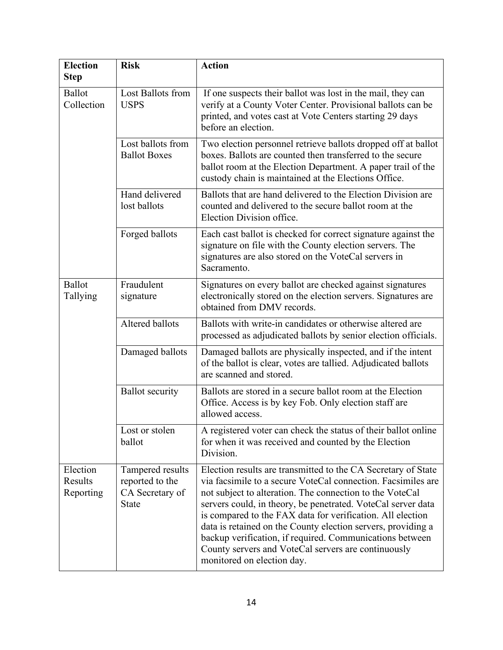| <b>Election</b><br><b>Step</b>   | <b>Risk</b>                                                            | <b>Action</b>                                                                                                                                                                                                                                                                                                                                                                                                                                                                                                                            |  |
|----------------------------------|------------------------------------------------------------------------|------------------------------------------------------------------------------------------------------------------------------------------------------------------------------------------------------------------------------------------------------------------------------------------------------------------------------------------------------------------------------------------------------------------------------------------------------------------------------------------------------------------------------------------|--|
| Ballot<br>Collection             | Lost Ballots from<br><b>USPS</b>                                       | If one suspects their ballot was lost in the mail, they can<br>verify at a County Voter Center. Provisional ballots can be<br>printed, and votes cast at Vote Centers starting 29 days<br>before an election.                                                                                                                                                                                                                                                                                                                            |  |
|                                  | Lost ballots from<br><b>Ballot Boxes</b>                               | Two election personnel retrieve ballots dropped off at ballot<br>boxes. Ballots are counted then transferred to the secure<br>ballot room at the Election Department. A paper trail of the<br>custody chain is maintained at the Elections Office.                                                                                                                                                                                                                                                                                       |  |
|                                  | Hand delivered<br>lost ballots                                         | Ballots that are hand delivered to the Election Division are<br>counted and delivered to the secure ballot room at the<br>Election Division office.                                                                                                                                                                                                                                                                                                                                                                                      |  |
|                                  | Forged ballots                                                         | Each cast ballot is checked for correct signature against the<br>signature on file with the County election servers. The<br>signatures are also stored on the VoteCal servers in<br>Sacramento.                                                                                                                                                                                                                                                                                                                                          |  |
| <b>Ballot</b><br>Tallying        | Fraudulent<br>signature                                                | Signatures on every ballot are checked against signatures<br>electronically stored on the election servers. Signatures are<br>obtained from DMV records.                                                                                                                                                                                                                                                                                                                                                                                 |  |
|                                  | Altered ballots                                                        | Ballots with write-in candidates or otherwise altered are<br>processed as adjudicated ballots by senior election officials.                                                                                                                                                                                                                                                                                                                                                                                                              |  |
|                                  | Damaged ballots                                                        | Damaged ballots are physically inspected, and if the intent<br>of the ballot is clear, votes are tallied. Adjudicated ballots<br>are scanned and stored.                                                                                                                                                                                                                                                                                                                                                                                 |  |
|                                  | <b>Ballot</b> security                                                 | Ballots are stored in a secure ballot room at the Election<br>Office. Access is by key Fob. Only election staff are<br>allowed access.                                                                                                                                                                                                                                                                                                                                                                                                   |  |
|                                  | Lost or stolen<br>ballot                                               | A registered voter can check the status of their ballot online<br>for when it was received and counted by the Election<br>Division.                                                                                                                                                                                                                                                                                                                                                                                                      |  |
| Election<br>Results<br>Reporting | Tampered results<br>reported to the<br>CA Secretary of<br><b>State</b> | Election results are transmitted to the CA Secretary of State<br>via facsimile to a secure VoteCal connection. Facsimiles are<br>not subject to alteration. The connection to the VoteCal<br>servers could, in theory, be penetrated. VoteCal server data<br>is compared to the FAX data for verification. All election<br>data is retained on the County election servers, providing a<br>backup verification, if required. Communications between<br>County servers and VoteCal servers are continuously<br>monitored on election day. |  |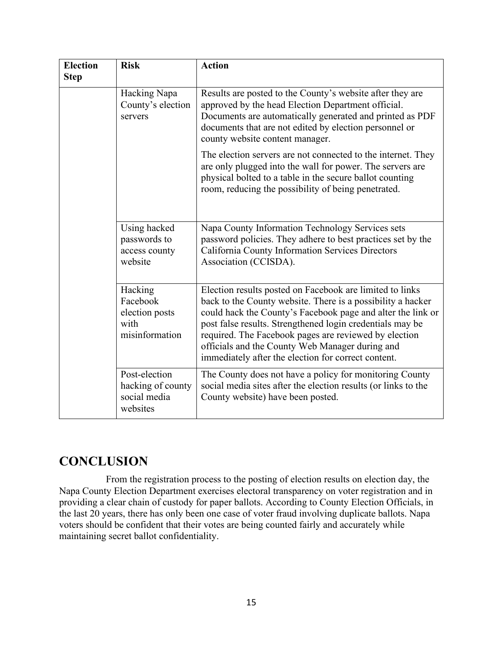| <b>Election</b><br><b>Step</b> | <b>Risk</b>                                                     | <b>Action</b>                                                                                                                                                                                                                                                                                                                                                                                                          |  |
|--------------------------------|-----------------------------------------------------------------|------------------------------------------------------------------------------------------------------------------------------------------------------------------------------------------------------------------------------------------------------------------------------------------------------------------------------------------------------------------------------------------------------------------------|--|
|                                | Hacking Napa<br>County's election<br>servers                    | Results are posted to the County's website after they are<br>approved by the head Election Department official.<br>Documents are automatically generated and printed as PDF<br>documents that are not edited by election personnel or<br>county website content manager.                                                                                                                                               |  |
|                                |                                                                 | The election servers are not connected to the internet. They<br>are only plugged into the wall for power. The servers are<br>physical bolted to a table in the secure ballot counting<br>room, reducing the possibility of being penetrated.                                                                                                                                                                           |  |
|                                | Using hacked<br>passwords to<br>access county<br>website        | Napa County Information Technology Services sets<br>password policies. They adhere to best practices set by the<br>California County Information Services Directors<br>Association (CCISDA).                                                                                                                                                                                                                           |  |
|                                | Hacking<br>Facebook<br>election posts<br>with<br>misinformation | Election results posted on Facebook are limited to links<br>back to the County website. There is a possibility a hacker<br>could hack the County's Facebook page and alter the link or<br>post false results. Strengthened login credentials may be<br>required. The Facebook pages are reviewed by election<br>officials and the County Web Manager during and<br>immediately after the election for correct content. |  |
|                                | Post-election<br>hacking of county<br>social media<br>websites  | The County does not have a policy for monitoring County<br>social media sites after the election results (or links to the<br>County website) have been posted.                                                                                                                                                                                                                                                         |  |

## **CONCLUSION**

 From the registration process to the posting of election results on election day, the Napa County Election Department exercises electoral transparency on voter registration and in providing a clear chain of custody for paper ballots. According to County Election Officials, in the last 20 years, there has only been one case of voter fraud involving duplicate ballots. Napa voters should be confident that their votes are being counted fairly and accurately while maintaining secret ballot confidentiality.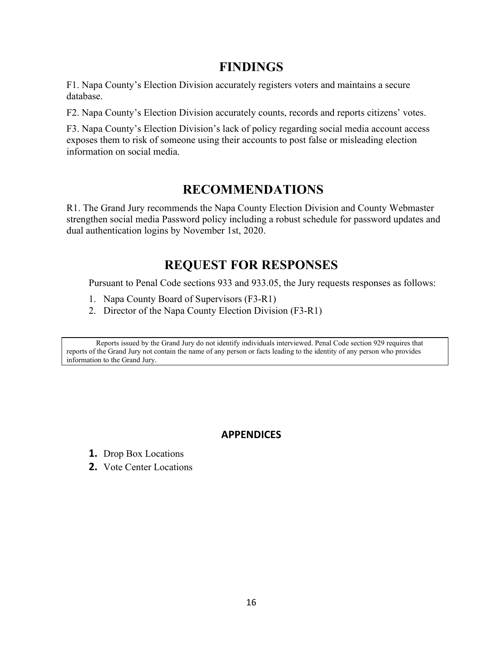## **FINDINGS**

F1. Napa County's Election Division accurately registers voters and maintains a secure database.

F2. Napa County's Election Division accurately counts, records and reports citizens' votes.

F3. Napa County's Election Division's lack of policy regarding social media account access exposes them to risk of someone using their accounts to post false or misleading election information on social media.

## **RECOMMENDATIONS**

R1. The Grand Jury recommends the Napa County Election Division and County Webmaster strengthen social media Password policy including a robust schedule for password updates and dual authentication logins by November 1st, 2020.

# **REQUEST FOR RESPONSES**

Pursuant to Penal Code sections 933 and 933.05, the Jury requests responses as follows:

- 1. Napa County Board of Supervisors (F3-R1)
- 2. Director of the Napa County Election Division (F3-R1)

Reports issued by the Grand Jury do not identify individuals interviewed. Penal Code section 929 requires that reports of the Grand Jury not contain the name of any person or facts leading to the identity of any person who provides information to the Grand Jury.

### **APPENDICES**

- **1.** Drop Box Locations
- **2.** Vote Center Locations